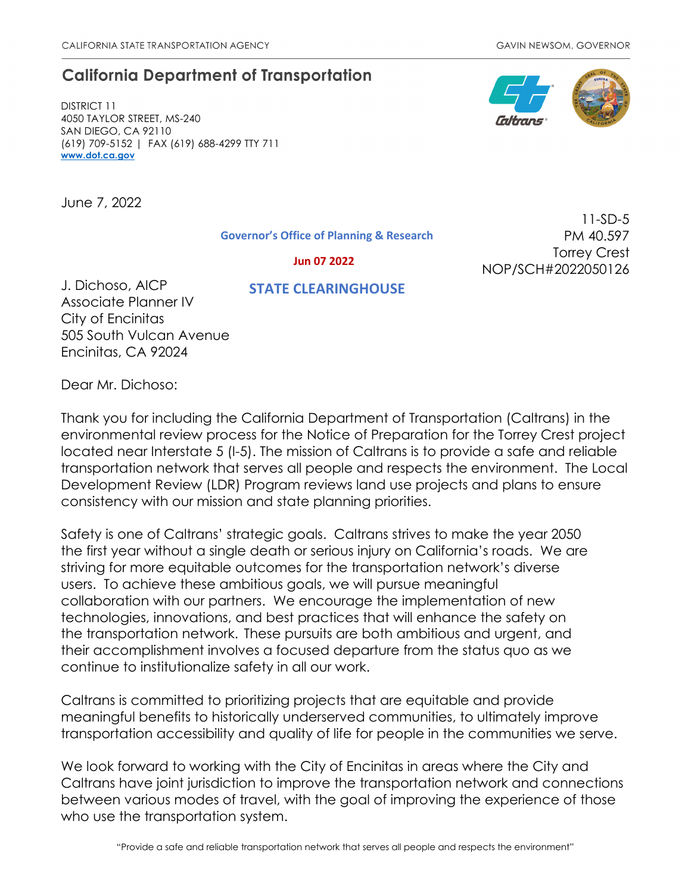# **California Department of Transportation**

DISTRICT 11 4050 TAYLOR STREET, MS-240 SAN DIEGO, CA 92110 (619) 709-5152 | FAX (619) 688-4299 TTY 711 **[www.dot.ca.gov](http://www.dot.ca.gov/)**

June 7, 2022

**Governor's Office of Planning & Research**

11-SD-5 PM 40.597 Torrey Crest

 **Jun 07 2022**

NOP/SCH#2022050126

# **STATE CLEARINGHOUSE**

J. Dichoso, AICP Associate Planner IV City of Encinitas 505 South Vulcan Avenue Encinitas, CA 92024

Dear Mr. Dichoso:

Thank you for including the California Department of Transportation (Caltrans) in the environmental review process for the Notice of Preparation for the Torrey Crest project located near Interstate 5 (I-5). The mission of Caltrans is to provide a safe and reliable transportation network that serves all people and respects the environment. The Local Development Review (LDR) Program reviews land use projects and plans to ensure consistency with our mission and state planning priorities.

Safety is one of Caltrans' strategic goals. Caltrans strives to make the year 2050 the first year without a single death or serious injury on California's roads. We are striving for more equitable outcomes for the transportation network's diverse users. To achieve these ambitious goals, we will pursue meaningful collaboration with our partners. We encourage the implementation of new technologies, innovations, and best practices that will enhance the safety on the transportation network. These pursuits are both ambitious and urgent, and their accomplishment involves a focused departure from the status quo as we continue to institutionalize safety in all our work.

Caltrans is committed to prioritizing projects that are equitable and provide meaningful benefits to historically underserved communities, to ultimately improve transportation accessibility and quality of life for people in the communities we serve.

We look forward to working with the City of Encinitas in areas where the City and Caltrans have joint jurisdiction to improve the transportation network and connections between various modes of travel, with the goal of improving the experience of those who use the transportation system.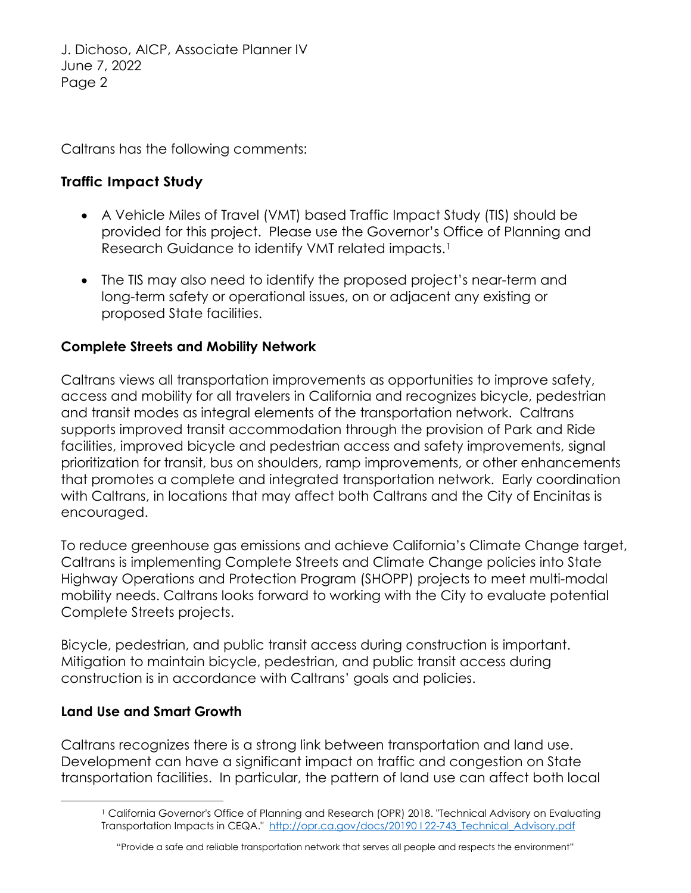J. Dichoso, AICP, Associate Planner IV June 7, 2022 Page 2

Caltrans has the following comments:

#### **Traffic Impact Study**

- A Vehicle Miles of Travel (VMT) based Traffic Impact Study (TIS) should be provided for this project. Please use the Governor's Office of Planning and Research Guidance to identify VMT related impacts.<sup>1</sup>
- The TIS may also need to identify the proposed project's near-term and long-term safety or operational issues, on or adjacent any existing or proposed State facilities.

### **Complete Streets and Mobility Network**

Caltrans views all transportation improvements as opportunities to improve safety, access and mobility for all travelers in California and recognizes bicycle, pedestrian and transit modes as integral elements of the transportation network. Caltrans supports improved transit accommodation through the provision of Park and Ride facilities, improved bicycle and pedestrian access and safety improvements, signal prioritization for transit, bus on shoulders, ramp improvements, or other enhancements that promotes a complete and integrated transportation network. Early coordination with Caltrans, in locations that may affect both Caltrans and the City of Encinitas is encouraged.

To reduce greenhouse gas emissions and achieve California's Climate Change target, Caltrans is implementing Complete Streets and Climate Change policies into State Highway Operations and Protection Program (SHOPP) projects to meet multi-modal mobility needs. Caltrans looks forward to working with the City to evaluate potential Complete Streets projects.

Bicycle, pedestrian, and public transit access during construction is important. Mitigation to maintain bicycle, pedestrian, and public transit access during construction is in accordance with Caltrans' goals and policies.

#### **Land Use and Smart Growth**

<span id="page-1-0"></span>Caltrans recognizes there is a strong link between transportation and land use. Development can have a significant impact on traffic and congestion on State transportation facilities. In particular, the pattern of land use can affect both local

<sup>&</sup>lt;sup>1</sup> California Governor's Office of Planning and Research (OPR) 2018. "Technical Advisory on Evaluating Transportation Impacts in CEQA." http://opr.ca.gov/docs/20190122-743 Technical Advisory.pdf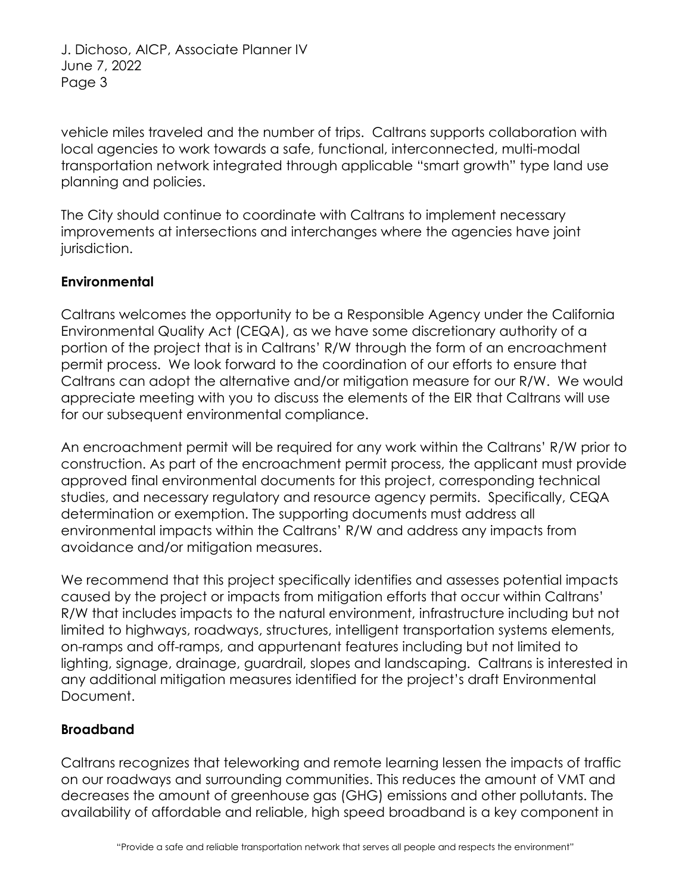J. Dichoso, AICP, Associate Planner IV June 7, 2022 Page 3

vehicle miles traveled and the number of trips. Caltrans supports collaboration with local agencies to work towards a safe, functional, interconnected, multi-modal transportation network integrated through applicable "smart growth" type land use planning and policies.

The City should continue to coordinate with Caltrans to implement necessary improvements at intersections and interchanges where the agencies have joint jurisdiction.

### **Environmental**

Caltrans welcomes the opportunity to be a Responsible Agency under the California Environmental Quality Act (CEQA), as we have some discretionary authority of a portion of the project that is in Caltrans' R/W through the form of an encroachment permit process. We look forward to the coordination of our efforts to ensure that Caltrans can adopt the alternative and/or mitigation measure for our R/W. We would appreciate meeting with you to discuss the elements of the EIR that Caltrans will use for our subsequent environmental compliance.

An encroachment permit will be required for any work within the Caltrans' R/W prior to construction. As part of the encroachment permit process, the applicant must provide approved final environmental documents for this project, corresponding technical studies, and necessary regulatory and resource agency permits. Specifically, CEQA determination or exemption. The supporting documents must address all environmental impacts within the Caltrans' R/W and address any impacts from avoidance and/or mitigation measures.

We recommend that this project specifically identifies and assesses potential impacts caused by the project or impacts from mitigation efforts that occur within Caltrans' R/W that includes impacts to the natural environment, infrastructure including but not limited to highways, roadways, structures, intelligent transportation systems elements, on-ramps and off-ramps, and appurtenant features including but not limited to lighting, signage, drainage, guardrail, slopes and landscaping. Caltrans is interested in any additional mitigation measures identified for the project's draft Environmental Document.

#### **Broadband**

Caltrans recognizes that teleworking and remote learning lessen the impacts of traffic on our roadways and surrounding communities. This reduces the amount of VMT and decreases the amount of greenhouse gas (GHG) emissions and other pollutants. The availability of affordable and reliable, high speed broadband is a key component in